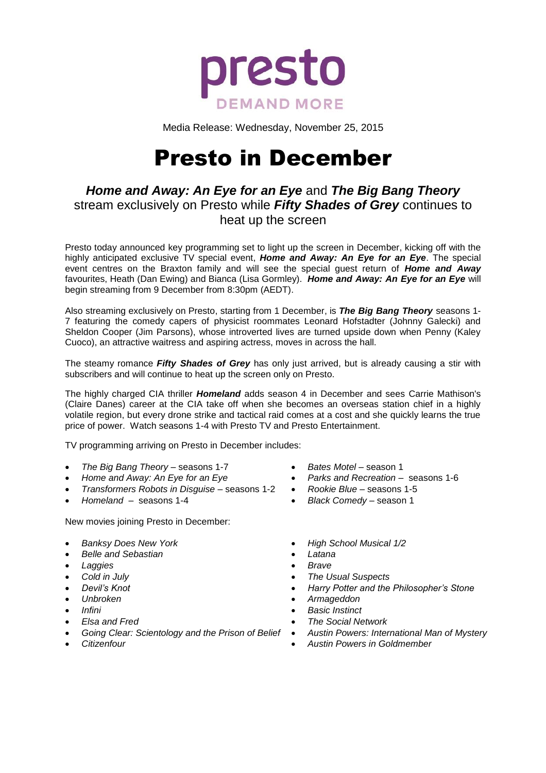

Media Release: Wednesday, November 25, 2015

# Presto in December

## *Home and Away: An Eye for an Eye* and *The Big Bang Theory* stream exclusively on Presto while *Fifty Shades of Grey* continues to heat up the screen

Presto today announced key programming set to light up the screen in December, kicking off with the highly anticipated exclusive TV special event, *Home and Away: An Eye for an Eye*. The special event centres on the Braxton family and will see the special guest return of *Home and Away* favourites, Heath (Dan Ewing) and Bianca (Lisa Gormley). *Home and Away: An Eye for an Eye* will begin streaming from 9 December from 8:30pm (AEDT).

Also streaming exclusively on Presto, starting from 1 December, is *The Big Bang Theory* seasons 1- 7 featuring the comedy capers of physicist roommates Leonard Hofstadter (Johnny Galecki) and Sheldon Cooper (Jim Parsons), whose introverted lives are turned upside down when Penny (Kaley Cuoco), an attractive waitress and aspiring actress, moves in across the hall.

The steamy romance *Fifty Shades of Grey* has only just arrived, but is already causing a stir with subscribers and will continue to heat up the screen only on Presto.

The highly charged CIA thriller *Homeland* adds season 4 in December and sees Carrie Mathison's (Claire Danes) career at the CIA take off when she becomes an overseas station chief in a highly volatile region, but every drone strike and tactical raid comes at a cost and she quickly learns the true price of power. Watch seasons 1-4 with Presto TV and Presto Entertainment.

TV programming arriving on Presto in December includes:

- *The Big Bang Theory –* seasons 1-7
- *Home and Away: An Eye for an Eye*
- *Transformers Robots in Disguise –* seasons 1-2
- *Homeland –* seasons 1-4

New movies joining Presto in December:

- *Banksy Does New York*
- *Belle and Sebastian*
- *Laggies*
- *Cold in July*
- *Devil's Knot*
- *Unbroken*
- *Infini*
- *Elsa and Fred*
- *Going Clear: Scientology and the Prison of Belief Austin Powers: International Man of Mystery*
- *Citizenfour*
- *Bates Motel –* season 1
- *Parks and Recreation* seasons 1-6
- *Rookie Blue –* seasons 1-5
- *Black Comedy –* season 1
- *High School Musical 1/2*
- *Latana*
- *Brave*
	- *The Usual Suspects*
- *Harry Potter and the Philosopher's Stone*
- *Armageddon*
- *Basic Instinct*
- *The Social Network*
- 
- *Austin Powers in Goldmember*